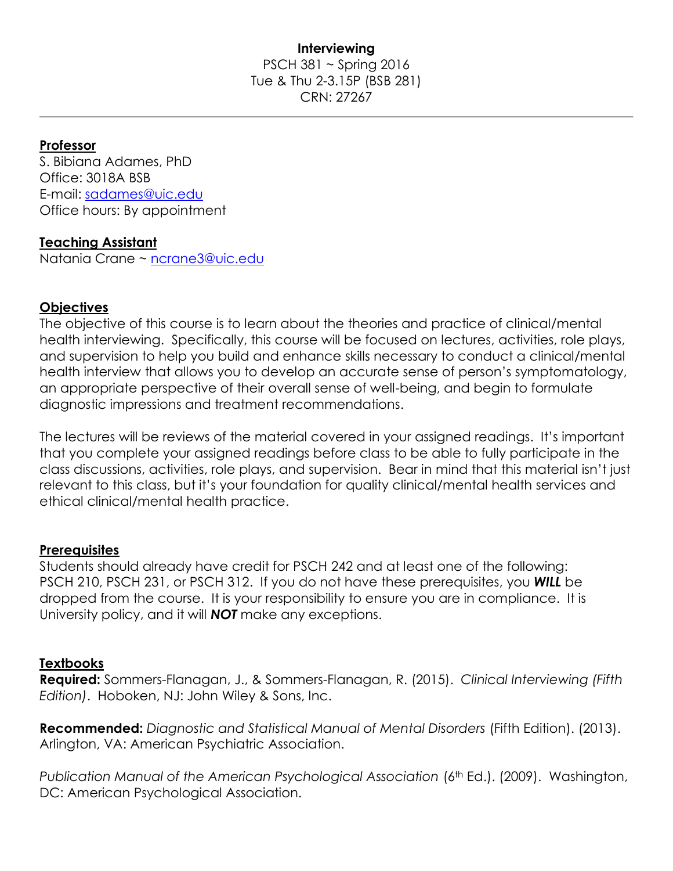## **Interviewing** PSCH 381 ~ Spring 2016 Tue & Thu 2-3.15P (BSB 281) CRN: 27267

### **Professor**

S. Bibiana Adames, PhD Office: 3018A BSB E-mail: [sadames@uic.edu](mailto:sadames@uic.edu) Office hours: By appointment

### **Teaching Assistant**

Natania Crane ~ [ncrane3@uic.edu](mailto:ncrane3@uic.edu)

### **Objectives**

The objective of this course is to learn about the theories and practice of clinical/mental health interviewing. Specifically, this course will be focused on lectures, activities, role plays, and supervision to help you build and enhance skills necessary to conduct a clinical/mental health interview that allows you to develop an accurate sense of person's symptomatology, an appropriate perspective of their overall sense of well-being, and begin to formulate diagnostic impressions and treatment recommendations.

The lectures will be reviews of the material covered in your assigned readings. It's important that you complete your assigned readings before class to be able to fully participate in the class discussions, activities, role plays, and supervision. Bear in mind that this material isn't just relevant to this class, but it's your foundation for quality clinical/mental health services and ethical clinical/mental health practice.

### **Prerequisites**

Students should already have credit for PSCH 242 and at least one of the following: PSCH 210, PSCH 231, or PSCH 312. If you do not have these prerequisites, you *WILL* be dropped from the course. It is your responsibility to ensure you are in compliance. It is University policy, and it will *NOT* make any exceptions.

### **Textbooks**

**Required:** Sommers-Flanagan, J., & Sommers-Flanagan, R. (2015). *Clinical Interviewing (Fifth Edition)*. Hoboken, NJ: John Wiley & Sons, Inc.

**Recommended:** *Diagnostic and Statistical Manual of Mental Disorders* (Fifth Edition). (2013). Arlington, VA: American Psychiatric Association.

*Publication Manual of the American Psychological Association* (6<sup>th</sup> Ed.). (2009). Washington, DC: American Psychological Association.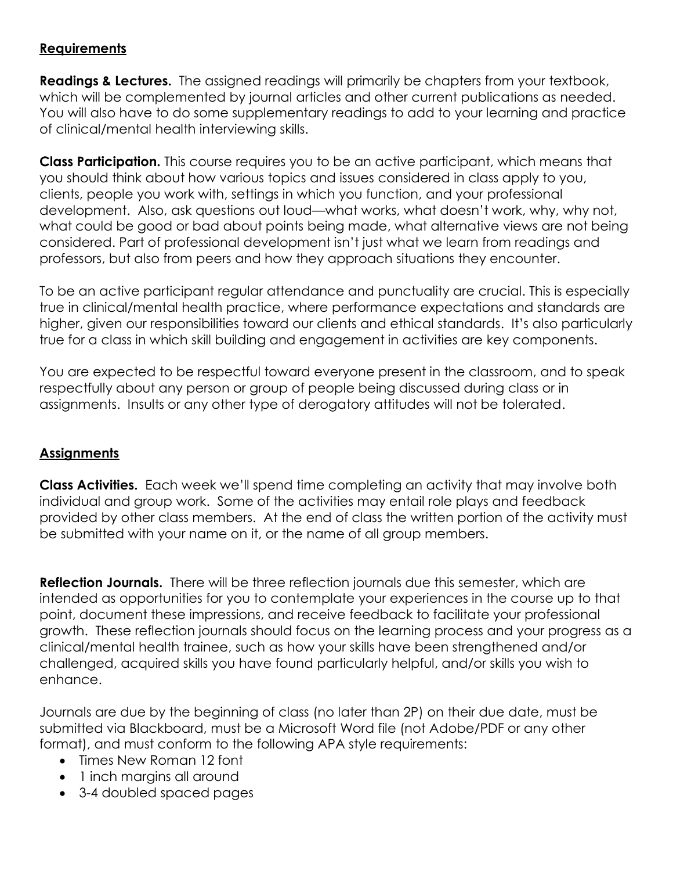# **Requirements**

**Readings & Lectures.** The assigned readings will primarily be chapters from your textbook, which will be complemented by journal articles and other current publications as needed. You will also have to do some supplementary readings to add to your learning and practice of clinical/mental health interviewing skills.

**Class Participation.** This course requires you to be an active participant, which means that you should think about how various topics and issues considered in class apply to you, clients, people you work with, settings in which you function, and your professional development. Also, ask questions out loud—what works, what doesn't work, why, why not, what could be good or bad about points being made, what alternative views are not being considered. Part of professional development isn't just what we learn from readings and professors, but also from peers and how they approach situations they encounter.

To be an active participant regular attendance and punctuality are crucial. This is especially true in clinical/mental health practice, where performance expectations and standards are higher, given our responsibilities toward our clients and ethical standards. It's also particularly true for a class in which skill building and engagement in activities are key components.

You are expected to be respectful toward everyone present in the classroom, and to speak respectfully about any person or group of people being discussed during class or in assignments. Insults or any other type of derogatory attitudes will not be tolerated.

# **Assignments**

**Class Activities.** Each week we'll spend time completing an activity that may involve both individual and group work. Some of the activities may entail role plays and feedback provided by other class members. At the end of class the written portion of the activity must be submitted with your name on it, or the name of all group members.

**Reflection Journals.** There will be three reflection journals due this semester, which are intended as opportunities for you to contemplate your experiences in the course up to that point, document these impressions, and receive feedback to facilitate your professional growth. These reflection journals should focus on the learning process and your progress as a clinical/mental health trainee, such as how your skills have been strengthened and/or challenged, acquired skills you have found particularly helpful, and/or skills you wish to enhance.

Journals are due by the beginning of class (no later than 2P) on their due date, must be submitted via Blackboard, must be a Microsoft Word file (not Adobe/PDF or any other format), and must conform to the following APA style requirements:

- Times New Roman 12 font
- 1 inch margins all around
- 3-4 doubled spaced pages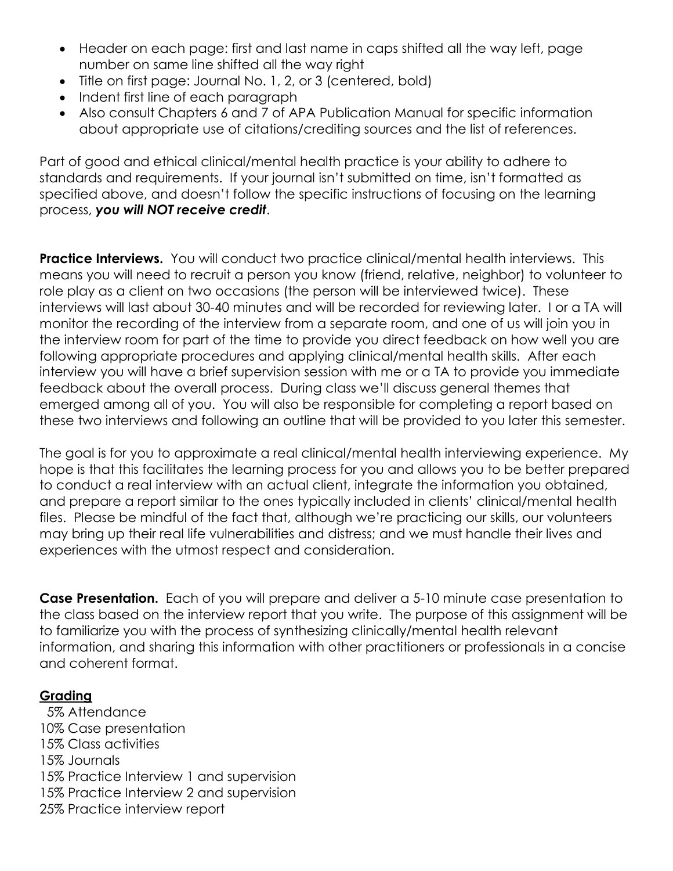- Header on each page: first and last name in caps shifted all the way left, page number on same line shifted all the way right
- Title on first page: Journal No. 1, 2, or 3 (centered, bold)
- Indent first line of each paragraph
- Also consult Chapters 6 and 7 of APA Publication Manual for specific information about appropriate use of citations/crediting sources and the list of references.

Part of good and ethical clinical/mental health practice is your ability to adhere to standards and requirements. If your journal isn't submitted on time, isn't formatted as specified above, and doesn't follow the specific instructions of focusing on the learning process, *you will NOT receive credit*.

**Practice Interviews.** You will conduct two practice clinical/mental health interviews. This means you will need to recruit a person you know (friend, relative, neighbor) to volunteer to role play as a client on two occasions (the person will be interviewed twice). These interviews will last about 30-40 minutes and will be recorded for reviewing later. I or a TA will monitor the recording of the interview from a separate room, and one of us will join you in the interview room for part of the time to provide you direct feedback on how well you are following appropriate procedures and applying clinical/mental health skills. After each interview you will have a brief supervision session with me or a TA to provide you immediate feedback about the overall process. During class we'll discuss general themes that emerged among all of you. You will also be responsible for completing a report based on these two interviews and following an outline that will be provided to you later this semester.

The goal is for you to approximate a real clinical/mental health interviewing experience. My hope is that this facilitates the learning process for you and allows you to be better prepared to conduct a real interview with an actual client, integrate the information you obtained, and prepare a report similar to the ones typically included in clients' clinical/mental health files. Please be mindful of the fact that, although we're practicing our skills, our volunteers may bring up their real life vulnerabilities and distress; and we must handle their lives and experiences with the utmost respect and consideration.

**Case Presentation.** Each of you will prepare and deliver a 5-10 minute case presentation to the class based on the interview report that you write. The purpose of this assignment will be to familiarize you with the process of synthesizing clinically/mental health relevant information, and sharing this information with other practitioners or professionals in a concise and coherent format.

## **Grading**

 5% Attendance 10% Case presentation 15% Class activities 15% Journals 15% Practice Interview 1 and supervision 15% Practice Interview 2 and supervision 25% Practice interview report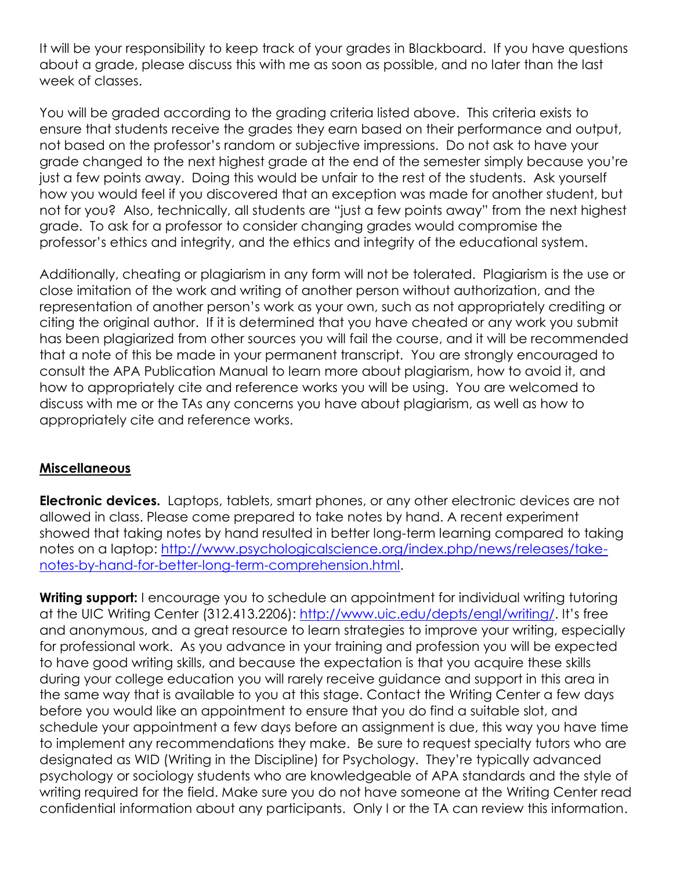It will be your responsibility to keep track of your grades in Blackboard. If you have questions about a grade, please discuss this with me as soon as possible, and no later than the last week of classes.

You will be graded according to the grading criteria listed above. This criteria exists to ensure that students receive the grades they earn based on their performance and output, not based on the professor's random or subjective impressions. Do not ask to have your grade changed to the next highest grade at the end of the semester simply because you're just a few points away. Doing this would be unfair to the rest of the students. Ask yourself how you would feel if you discovered that an exception was made for another student, but not for you? Also, technically, all students are "just a few points away" from the next highest grade. To ask for a professor to consider changing grades would compromise the professor's ethics and integrity, and the ethics and integrity of the educational system.

Additionally, cheating or plagiarism in any form will not be tolerated. Plagiarism is the use or close imitation of the work and writing of another person without authorization, and the representation of another person's work as your own, such as not appropriately crediting or citing the original author. If it is determined that you have cheated or any work you submit has been plagiarized from other sources you will fail the course, and it will be recommended that a note of this be made in your permanent transcript. You are strongly encouraged to consult the APA Publication Manual to learn more about plagiarism, how to avoid it, and how to appropriately cite and reference works you will be using. You are welcomed to discuss with me or the TAs any concerns you have about plagiarism, as well as how to appropriately cite and reference works.

## **Miscellaneous**

**Electronic devices.** Laptops, tablets, smart phones, or any other electronic devices are not allowed in class. Please come prepared to take notes by hand. A recent experiment showed that taking notes by hand resulted in better long-term learning compared to taking notes on a laptop: [http://www.psychologicalscience.org/index.php/news/releases/take](http://www.psychologicalscience.org/index.php/news/releases/take-notes-by-hand-for-better-long-term-comprehension.html)[notes-by-hand-for-better-long-term-comprehension.html.](http://www.psychologicalscience.org/index.php/news/releases/take-notes-by-hand-for-better-long-term-comprehension.html)

**Writing support:** I encourage you to schedule an appointment for individual writing tutoring at the UIC Writing Center (312.413.2206):<http://www.uic.edu/depts/engl/writing/>. It's free and anonymous, and a great resource to learn strategies to improve your writing, especially for professional work. As you advance in your training and profession you will be expected to have good writing skills, and because the expectation is that you acquire these skills during your college education you will rarely receive guidance and support in this area in the same way that is available to you at this stage. Contact the Writing Center a few days before you would like an appointment to ensure that you do find a suitable slot, and schedule your appointment a few days before an assignment is due, this way you have time to implement any recommendations they make. Be sure to request specialty tutors who are designated as WID (Writing in the Discipline) for Psychology. They're typically advanced psychology or sociology students who are knowledgeable of APA standards and the style of writing required for the field. Make sure you do not have someone at the Writing Center read confidential information about any participants. Only I or the TA can review this information.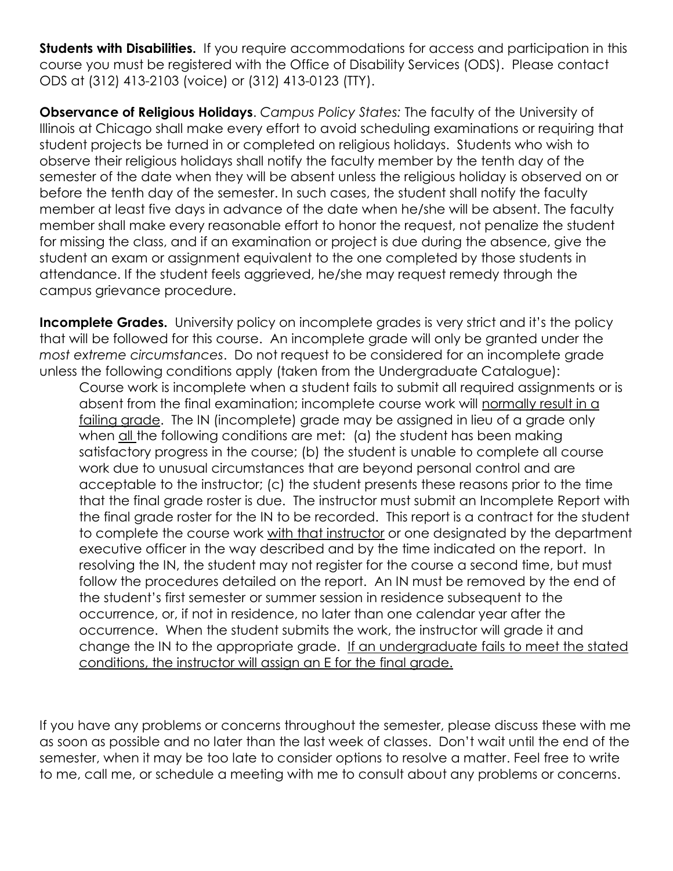**Students with Disabilities.** If you require accommodations for access and participation in this course you must be registered with the Office of Disability Services (ODS). Please contact ODS at (312) 413-2103 (voice) or (312) 413-0123 (TTY).

**Observance of Religious Holidays**. *Campus Policy States:* The faculty of the University of Illinois at Chicago shall make every effort to avoid scheduling examinations or requiring that student projects be turned in or completed on religious holidays. Students who wish to observe their religious holidays shall notify the faculty member by the tenth day of the semester of the date when they will be absent unless the religious holiday is observed on or before the tenth day of the semester. In such cases, the student shall notify the faculty member at least five days in advance of the date when he/she will be absent. The faculty member shall make every reasonable effort to honor the request, not penalize the student for missing the class, and if an examination or project is due during the absence, give the student an exam or assignment equivalent to the one completed by those students in attendance. If the student feels aggrieved, he/she may request remedy through the campus grievance procedure.

**Incomplete Grades.** University policy on incomplete grades is very strict and it's the policy that will be followed for this course. An incomplete grade will only be granted under the *most extreme circumstances*. Do not request to be considered for an incomplete grade unless the following conditions apply (taken from the Undergraduate Catalogue):

Course work is incomplete when a student fails to submit all required assignments or is absent from the final examination; incomplete course work will normally result in a failing grade. The IN (incomplete) grade may be assigned in lieu of a grade only when all the following conditions are met: (a) the student has been making satisfactory progress in the course; (b) the student is unable to complete all course work due to unusual circumstances that are beyond personal control and are acceptable to the instructor; (c) the student presents these reasons prior to the time that the final grade roster is due. The instructor must submit an Incomplete Report with the final grade roster for the IN to be recorded. This report is a contract for the student to complete the course work with that instructor or one designated by the department executive officer in the way described and by the time indicated on the report. In resolving the IN, the student may not register for the course a second time, but must follow the procedures detailed on the report. An IN must be removed by the end of the student's first semester or summer session in residence subsequent to the occurrence, or, if not in residence, no later than one calendar year after the occurrence. When the student submits the work, the instructor will grade it and change the IN to the appropriate grade. If an undergraduate fails to meet the stated conditions, the instructor will assign an E for the final grade.

If you have any problems or concerns throughout the semester, please discuss these with me as soon as possible and no later than the last week of classes. Don't wait until the end of the semester, when it may be too late to consider options to resolve a matter. Feel free to write to me, call me, or schedule a meeting with me to consult about any problems or concerns.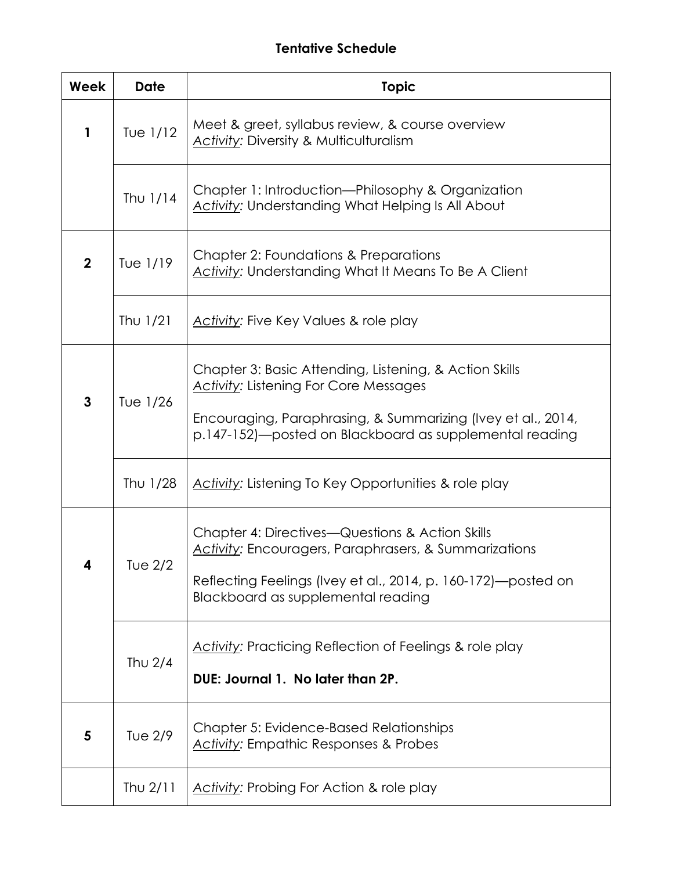# **Tentative Schedule**

| Week           | <b>Date</b> | <b>Topic</b>                                                                                                                                                                                                                      |
|----------------|-------------|-----------------------------------------------------------------------------------------------------------------------------------------------------------------------------------------------------------------------------------|
| 1              | Tue $1/12$  | Meet & greet, syllabus review, & course overview<br><b>Activity: Diversity &amp; Multiculturalism</b>                                                                                                                             |
|                | Thu $1/14$  | Chapter 1: Introduction-Philosophy & Organization<br><b>Activity: Understanding What Helping Is All About</b>                                                                                                                     |
| $\overline{2}$ | Tue 1/19    | Chapter 2: Foundations & Preparations<br><b>Activity: Understanding What It Means To Be A Client</b>                                                                                                                              |
|                | Thu $1/21$  | <b>Activity: Five Key Values &amp; role play</b>                                                                                                                                                                                  |
| 3              | Tue 1/26    | Chapter 3: Basic Attending, Listening, & Action Skills<br><b>Activity: Listening For Core Messages</b><br>Encouraging, Paraphrasing, & Summarizing (Ivey et al., 2014,<br>p.147-152)—posted on Blackboard as supplemental reading |
|                | Thu 1/28    | <b>Activity:</b> Listening To Key Opportunities & role play                                                                                                                                                                       |
| 4              | T∪e 2/2     | Chapter 4: Directives—Questions & Action Skills<br>Activity: Encouragers, Paraphrasers, & Summarizations<br>Reflecting Feelings (Ivey et al., 2014, p. 160-172)—posted on<br>Blackboard as supplemental reading                   |
|                | Thu $2/4$   | Activity: Practicing Reflection of Feelings & role play<br>DUE: Journal 1. No later than 2P.                                                                                                                                      |
| 5              | Tue 2/9     | <b>Chapter 5: Evidence-Based Relationships</b><br>Activity: Empathic Responses & Probes                                                                                                                                           |
|                | Thu $2/11$  | Activity: Probing For Action & role play                                                                                                                                                                                          |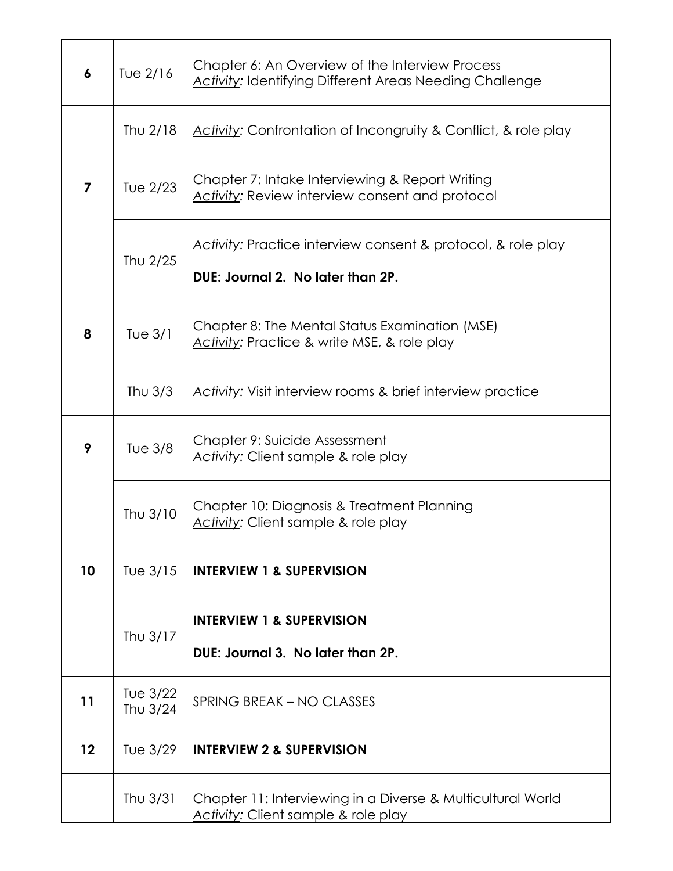| 6              | Tue 2/16               | Chapter 6: An Overview of the Interview Process<br><b>Activity: Identifying Different Areas Needing Challenge</b> |
|----------------|------------------------|-------------------------------------------------------------------------------------------------------------------|
|                | Thu 2/18               | Activity: Confrontation of Incongruity & Conflict, & role play                                                    |
| $\overline{7}$ | Tue 2/23               | Chapter 7: Intake Interviewing & Report Writing<br>Activity: Review interview consent and protocol                |
|                | Thu 2/25               | Activity: Practice interview consent & protocol, & role play<br>DUE: Journal 2. No later than 2P.                 |
| 8              | Tue $3/1$              | Chapter 8: The Mental Status Examination (MSE)<br>Activity: Practice & write MSE, & role play                     |
|                | Thu $3/3$              | Activity: Visit interview rooms & brief interview practice                                                        |
| 9              | <b>Tue 3/8</b>         | Chapter 9: Suicide Assessment<br>Activity: Client sample & role play                                              |
|                | Thu 3/10               | Chapter 10: Diagnosis & Treatment Planning<br>Activity: Client sample & role play                                 |
| 10             | Tue 3/15               | <b>INTERVIEW 1 &amp; SUPERVISION</b>                                                                              |
|                | Thu 3/17               | <b>INTERVIEW 1 &amp; SUPERVISION</b><br>DUE: Journal 3. No later than 2P.                                         |
| 11             | Tue $3/22$<br>Thu 3/24 | SPRING BREAK - NO CLASSES                                                                                         |
| 12             | Tue 3/29               | <b>INTERVIEW 2 &amp; SUPERVISION</b>                                                                              |
|                | Thu $3/31$             | Chapter 11: Interviewing in a Diverse & Multicultural World<br>Activity: Client sample & role play                |